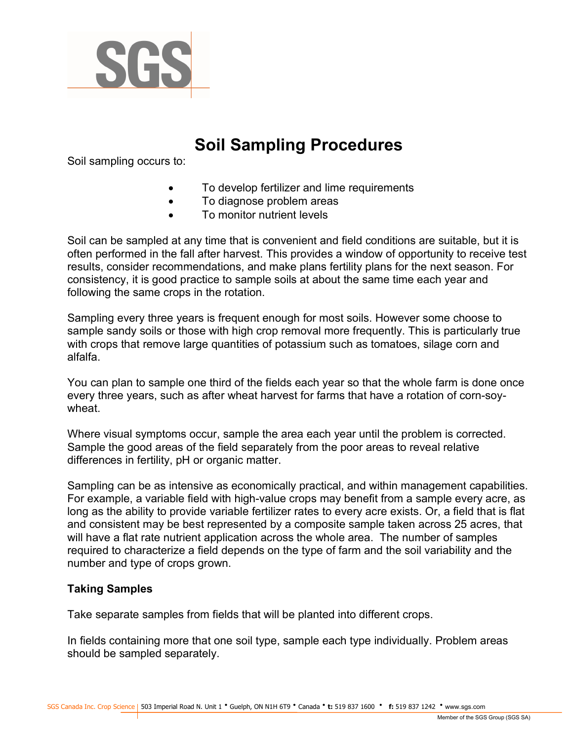

# Soil Sampling Procedures

Soil sampling occurs to:

- To develop fertilizer and lime requirements
- To diagnose problem areas
- To monitor nutrient levels

Soil can be sampled at any time that is convenient and field conditions are suitable, but it is often performed in the fall after harvest. This provides a window of opportunity to receive test results, consider recommendations, and make plans fertility plans for the next season. For consistency, it is good practice to sample soils at about the same time each year and following the same crops in the rotation.

Sampling every three years is frequent enough for most soils. However some choose to sample sandy soils or those with high crop removal more frequently. This is particularly true with crops that remove large quantities of potassium such as tomatoes, silage corn and alfalfa.

You can plan to sample one third of the fields each year so that the whole farm is done once every three years, such as after wheat harvest for farms that have a rotation of corn-soywheat.

Where visual symptoms occur, sample the area each year until the problem is corrected. Sample the good areas of the field separately from the poor areas to reveal relative differences in fertility, pH or organic matter.

Sampling can be as intensive as economically practical, and within management capabilities. For example, a variable field with high-value crops may benefit from a sample every acre, as long as the ability to provide variable fertilizer rates to every acre exists. Or, a field that is flat and consistent may be best represented by a composite sample taken across 25 acres, that will have a flat rate nutrient application across the whole area. The number of samples required to characterize a field depends on the type of farm and the soil variability and the number and type of crops grown.

#### Taking Samples

Take separate samples from fields that will be planted into different crops.

In fields containing more that one soil type, sample each type individually. Problem areas should be sampled separately.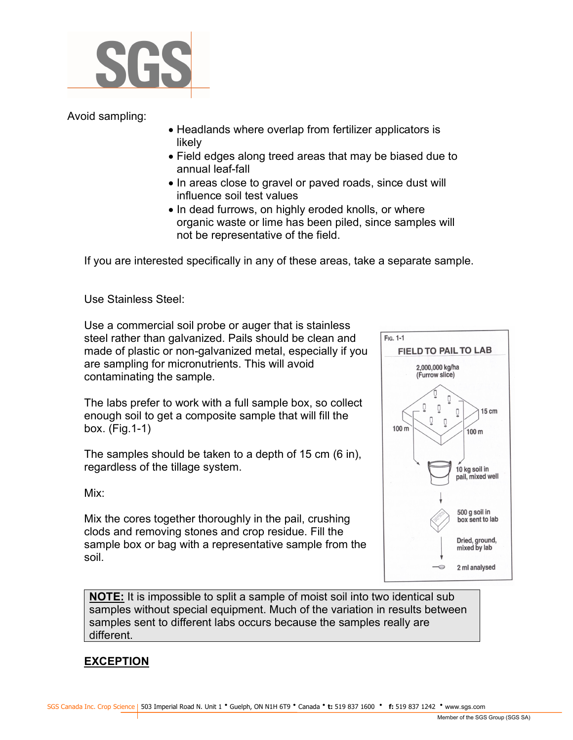

Avoid sampling:

- Headlands where overlap from fertilizer applicators is likely
- Field edges along treed areas that may be biased due to annual leaf-fall
- In areas close to gravel or paved roads, since dust will influence soil test values
- In dead furrows, on highly eroded knolls, or where organic waste or lime has been piled, since samples will not be representative of the field.

If you are interested specifically in any of these areas, take a separate sample.

Use Stainless Steel:

Use a commercial soil probe or auger that is stainless steel rather than galvanized. Pails should be clean and made of plastic or non-galvanized metal, especially if you are sampling for micronutrients. This will avoid contaminating the sample.

The labs prefer to work with a full sample box, so collect enough soil to get a composite sample that will fill the box. (Fig.1-1)

The samples should be taken to a depth of 15 cm (6 in), regardless of the tillage system.

Mix:

Mix the cores together thoroughly in the pail, crushing clods and removing stones and crop residue. Fill the sample box or bag with a representative sample from the soil.



NOTE: It is impossible to split a sample of moist soil into two identical sub samples without special equipment. Much of the variation in results between samples sent to different labs occurs because the samples really are different.

## EXCEPTION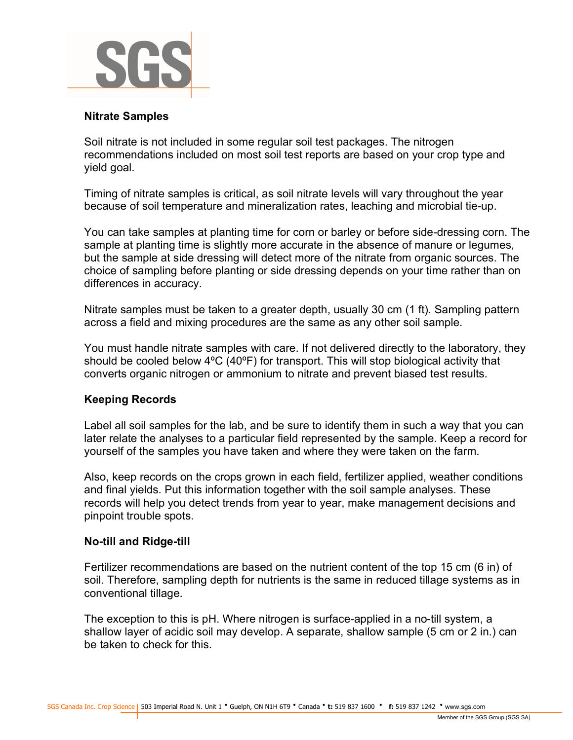

#### Nitrate Samples

Soil nitrate is not included in some regular soil test packages. The nitrogen recommendations included on most soil test reports are based on your crop type and yield goal.

Timing of nitrate samples is critical, as soil nitrate levels will vary throughout the year because of soil temperature and mineralization rates, leaching and microbial tie-up.

You can take samples at planting time for corn or barley or before side-dressing corn. The sample at planting time is slightly more accurate in the absence of manure or legumes, but the sample at side dressing will detect more of the nitrate from organic sources. The choice of sampling before planting or side dressing depends on your time rather than on differences in accuracy.

Nitrate samples must be taken to a greater depth, usually 30 cm (1 ft). Sampling pattern across a field and mixing procedures are the same as any other soil sample.

You must handle nitrate samples with care. If not delivered directly to the laboratory, they should be cooled below 4ºC (40ºF) for transport. This will stop biological activity that converts organic nitrogen or ammonium to nitrate and prevent biased test results.

#### Keeping Records

Label all soil samples for the lab, and be sure to identify them in such a way that you can later relate the analyses to a particular field represented by the sample. Keep a record for yourself of the samples you have taken and where they were taken on the farm.

Also, keep records on the crops grown in each field, fertilizer applied, weather conditions and final yields. Put this information together with the soil sample analyses. These records will help you detect trends from year to year, make management decisions and pinpoint trouble spots.

#### No-till and Ridge-till

Fertilizer recommendations are based on the nutrient content of the top 15 cm (6 in) of soil. Therefore, sampling depth for nutrients is the same in reduced tillage systems as in conventional tillage.

The exception to this is pH. Where nitrogen is surface-applied in a no-till system, a shallow layer of acidic soil may develop. A separate, shallow sample (5 cm or 2 in.) can be taken to check for this.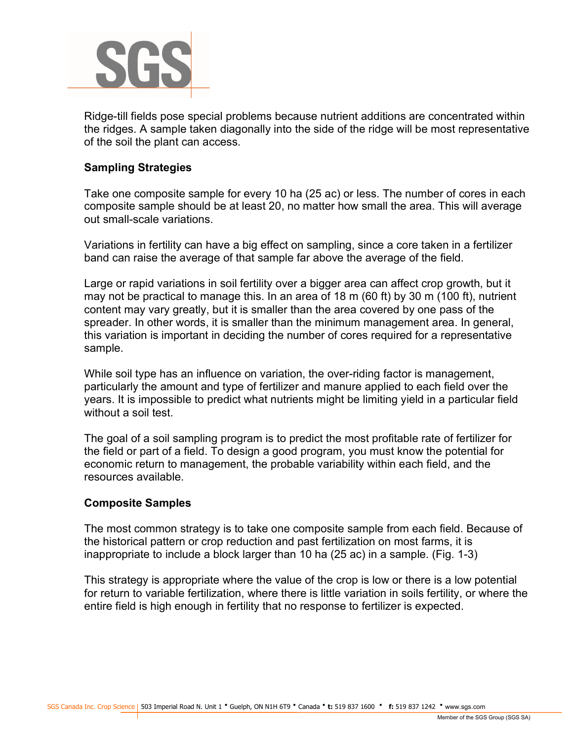

Ridge-till fields pose special problems because nutrient additions are concentrated within the ridges. A sample taken diagonally into the side of the ridge will be most representative of the soil the plant can access.

## Sampling Strategies

Take one composite sample for every 10 ha (25 ac) or less. The number of cores in each composite sample should be at least 20, no matter how small the area. This will average out small-scale variations.

Variations in fertility can have a big effect on sampling, since a core taken in a fertilizer band can raise the average of that sample far above the average of the field.

Large or rapid variations in soil fertility over a bigger area can affect crop growth, but it may not be practical to manage this. In an area of 18 m (60 ft) by 30 m (100 ft), nutrient content may vary greatly, but it is smaller than the area covered by one pass of the spreader. In other words, it is smaller than the minimum management area. In general, this variation is important in deciding the number of cores required for a representative sample.

While soil type has an influence on variation, the over-riding factor is management, particularly the amount and type of fertilizer and manure applied to each field over the years. It is impossible to predict what nutrients might be limiting yield in a particular field without a soil test.

The goal of a soil sampling program is to predict the most profitable rate of fertilizer for the field or part of a field. To design a good program, you must know the potential for economic return to management, the probable variability within each field, and the resources available.

#### Composite Samples

The most common strategy is to take one composite sample from each field. Because of the historical pattern or crop reduction and past fertilization on most farms, it is inappropriate to include a block larger than 10 ha (25 ac) in a sample. (Fig. 1-3)

This strategy is appropriate where the value of the crop is low or there is a low potential for return to variable fertilization, where there is little variation in soils fertility, or where the entire field is high enough in fertility that no response to fertilizer is expected.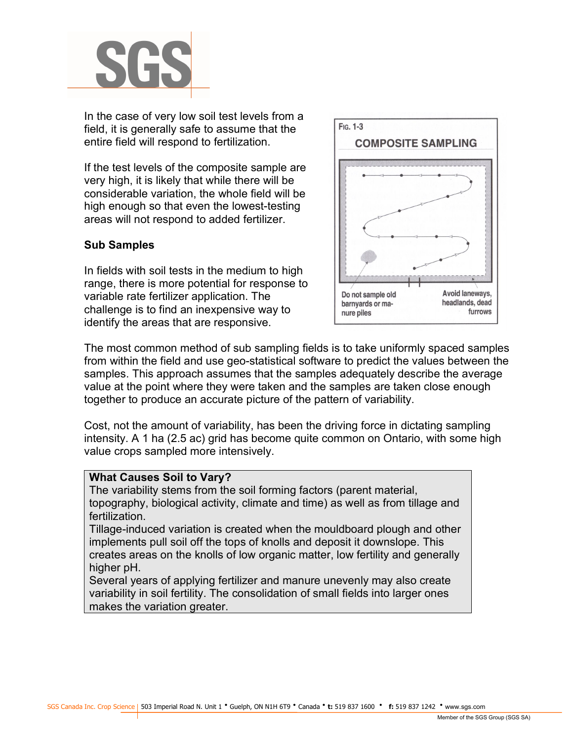

In the case of very low soil test levels from a field, it is generally safe to assume that the entire field will respond to fertilization.

If the test levels of the composite sample are very high, it is likely that while there will be considerable variation, the whole field will be high enough so that even the lowest-testing areas will not respond to added fertilizer.

## Sub Samples

In fields with soil tests in the medium to high range, there is more potential for response to variable rate fertilizer application. The challenge is to find an inexpensive way to identify the areas that are responsive.



The most common method of sub sampling fields is to take uniformly spaced samples from within the field and use geo-statistical software to predict the values between the samples. This approach assumes that the samples adequately describe the average value at the point where they were taken and the samples are taken close enough together to produce an accurate picture of the pattern of variability.

Cost, not the amount of variability, has been the driving force in dictating sampling intensity. A 1 ha (2.5 ac) grid has become quite common on Ontario, with some high value crops sampled more intensively.

#### What Causes Soil to Vary?

The variability stems from the soil forming factors (parent material, topography, biological activity, climate and time) as well as from tillage and fertilization.

Tillage-induced variation is created when the mouldboard plough and other implements pull soil off the tops of knolls and deposit it downslope. This creates areas on the knolls of low organic matter, low fertility and generally higher pH.

Several years of applying fertilizer and manure unevenly may also create variability in soil fertility. The consolidation of small fields into larger ones makes the variation greater.